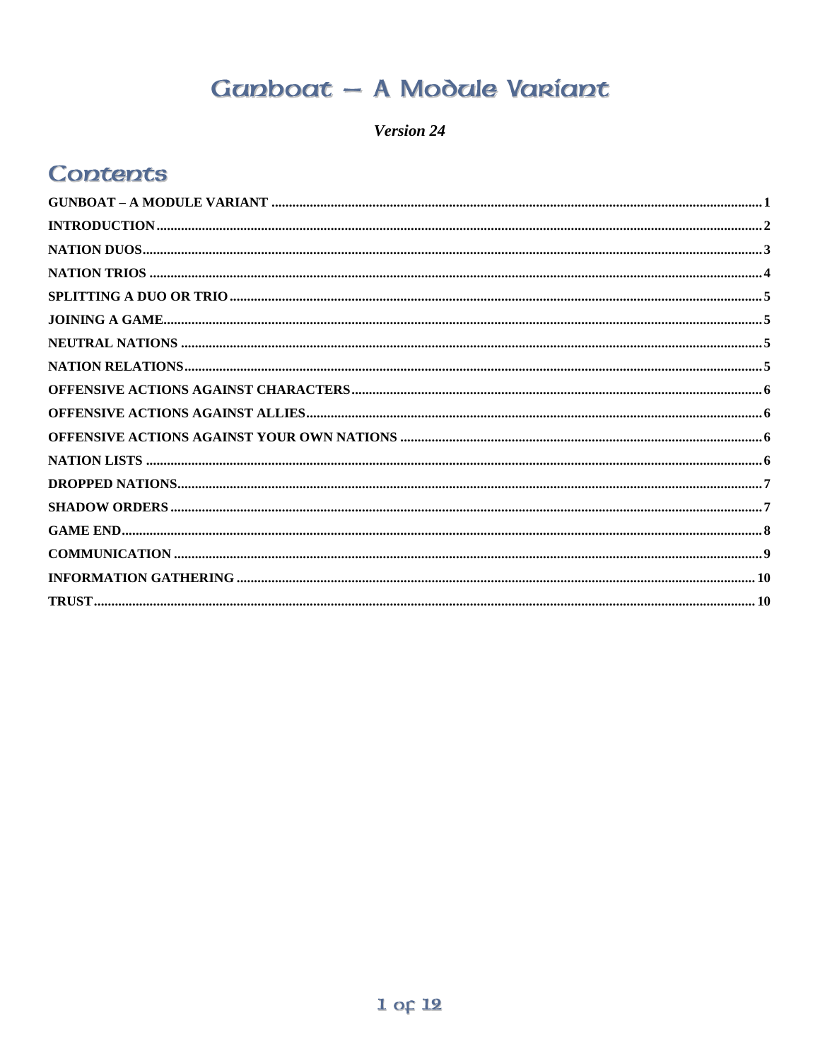# Ganboat - A Modale Variant

Version 24

### <span id="page-0-0"></span>**Contents**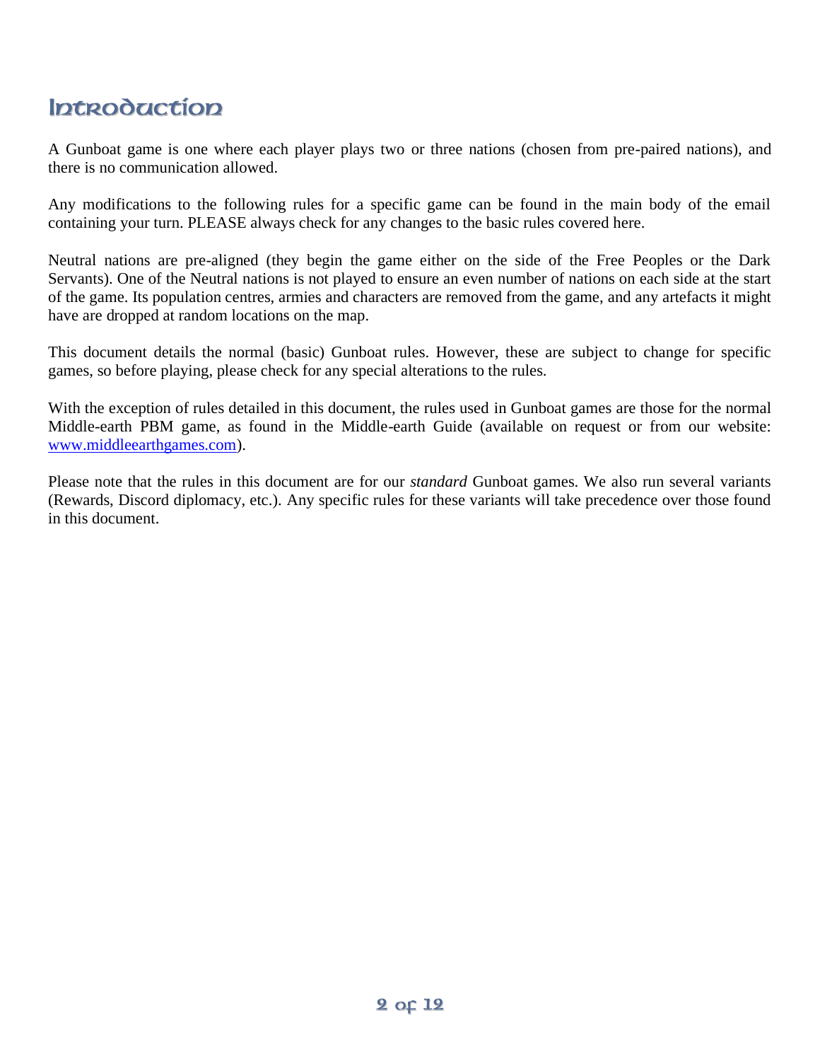# <span id="page-1-0"></span>**Introduction**

A Gunboat game is one where each player plays two or three nations (chosen from pre-paired nations), and there is no communication allowed.

Any modifications to the following rules for a specific game can be found in the main body of the email containing your turn. PLEASE always check for any changes to the basic rules covered here.

Neutral nations are pre-aligned (they begin the game either on the side of the Free Peoples or the Dark Servants). One of the Neutral nations is not played to ensure an even number of nations on each side at the start of the game. Its population centres, armies and characters are removed from the game, and any artefacts it might have are dropped at random locations on the map.

This document details the normal (basic) Gunboat rules. However, these are subject to change for specific games, so before playing, please check for any special alterations to the rules.

With the exception of rules detailed in this document, the rules used in Gunboat games are those for the normal Middle-earth PBM game, as found in the Middle-earth Guide (available on request or from our website: [www.middleearthgames.com\)](http://www.middleearthgames.com/).

Please note that the rules in this document are for our *standard* Gunboat games. We also run several variants (Rewards, Discord diplomacy, etc.). Any specific rules for these variants will take precedence over those found in this document.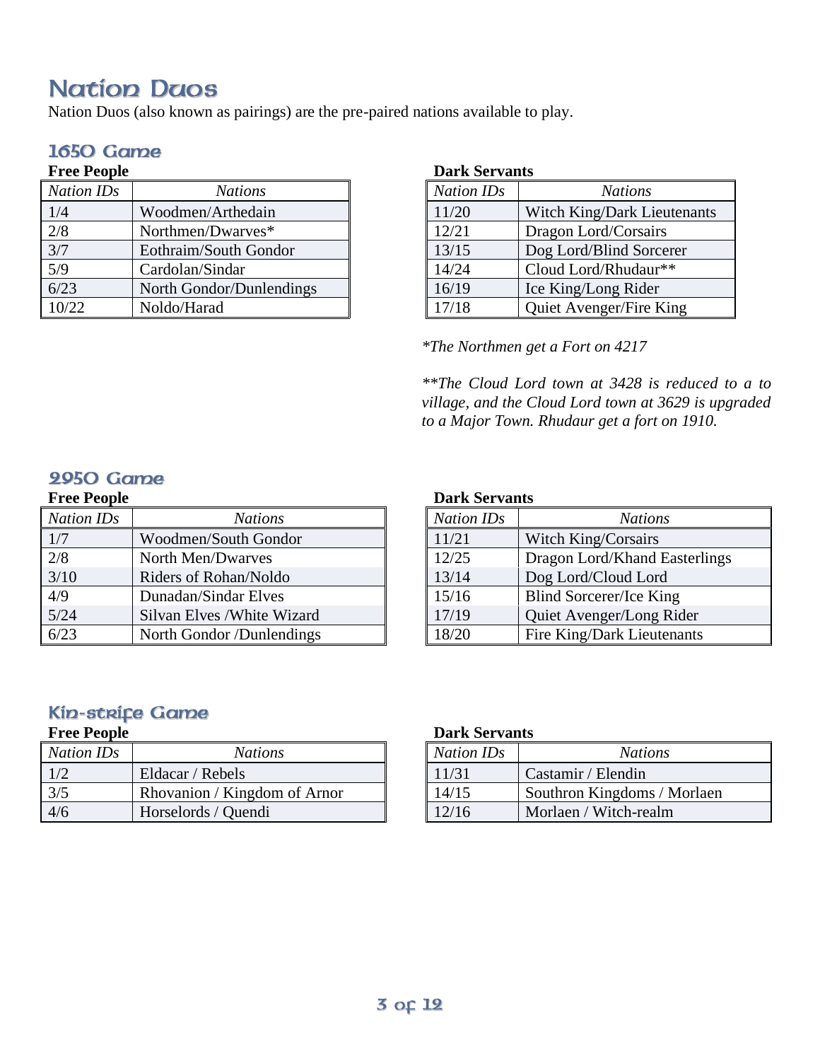# <span id="page-2-0"></span>**Nation Daos**

Nation Duos (also known as pairings) are the pre-paired nations available to play.

### **1650 Game**

#### **Free People** *Nation IDs Nations* 1/4 Woodmen/Arthedain<br>2/8 Northmen/Dwarves\* Northmen/Dwarves\* 3/7 Eothraim/South Gondor 5/9 Cardolan/Sindar 6/23 North Gondor/Dunlendings 10/22 Noldo/Harad

#### **Dark Servants**

| <b>Nation IDs</b> | <b>Nations</b>              |
|-------------------|-----------------------------|
| 11/20             | Witch King/Dark Lieutenants |
| 12/21             | Dragon Lord/Corsairs        |
| 13/15             | Dog Lord/Blind Sorcerer     |
| 14/24             | Cloud Lord/Rhudaur**        |
| 16/19             | Ice King/Long Rider         |
| 17/18             | Quiet Avenger/Fire King     |

*\*The Northmen get a Fort on 4217*

*\*\*The Cloud Lord town at 3428 is reduced to a to village, and the Cloud Lord town at 3629 is upgraded to a Major Town. Rhudaur get a fort on 1910.*

### 9950 Game

#### **Free People**

| <b>Nation IDs</b> | <b>Nations</b>              |
|-------------------|-----------------------------|
| 1/7               | Woodmen/South Gondor        |
| 2/8               | North Men/Dwarves           |
| $3/10$            | Riders of Rohan/Noldo       |
| 4/9               | Dunadan/Sindar Elves        |
| 5/24              | Silvan Elves / White Wizard |
| 6/23              | North Gondor /Dunlendings   |

#### **Dark Servants**

| <b>Nation IDs</b> | <b>Nations</b>                |
|-------------------|-------------------------------|
| 11/21             | Witch King/Corsairs           |
| 12/25             | Dragon Lord/Khand Easterlings |
| 13/14             | Dog Lord/Cloud Lord           |
| 15/16             | Blind Sorcerer/Ice King       |
| 17/19             | Quiet Avenger/Long Rider      |
| 18/20             | Fire King/Dark Lieutenants    |

### **Kin-strice Game**

#### **Free People**

| <b>Nation IDs</b> | <b>Nations</b>               |
|-------------------|------------------------------|
| $\frac{1}{2}$     | Eldacar / Rebels             |
| 3/5               | Rhovanion / Kingdom of Arnor |
| 4/6               | Horselords / Quendi          |

#### **Dark Servants**

| <b>Nation IDs</b> | <b>Nations</b>              |
|-------------------|-----------------------------|
| 11/31             | Castamir / Elendin          |
| 14/15             | Southron Kingdoms / Morlaen |
| 12/16             | Morlaen / Witch-realm       |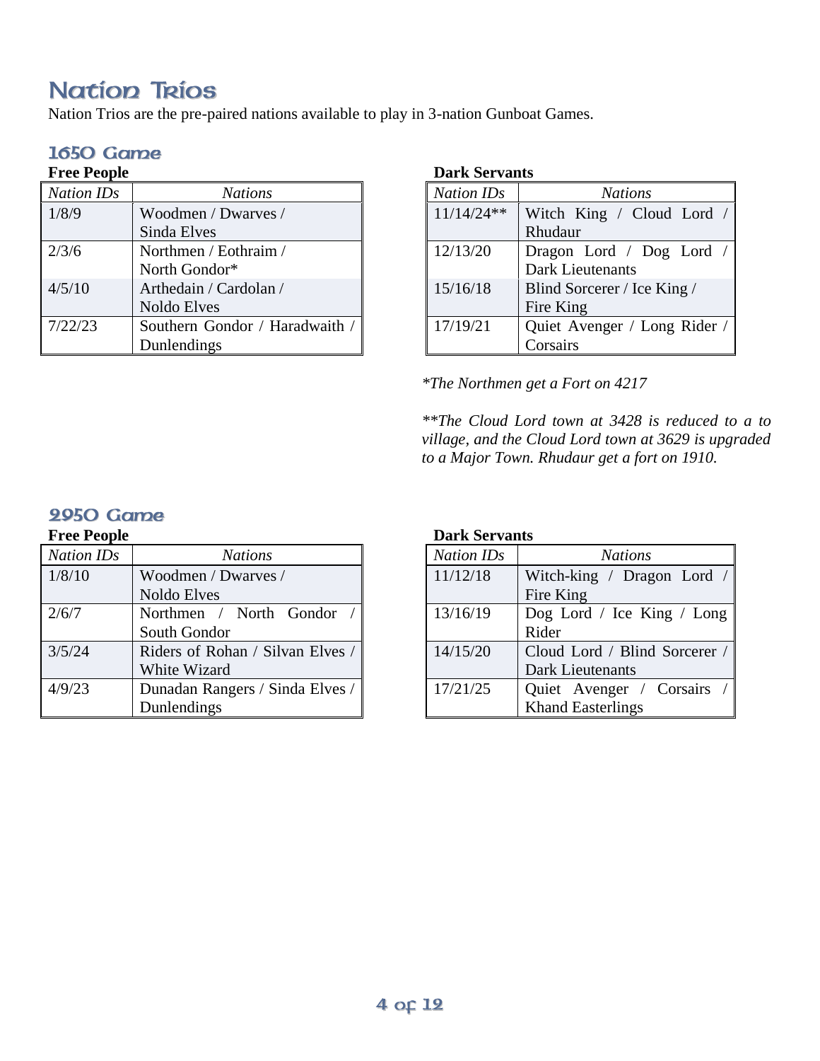# <span id="page-3-0"></span>**Nation Trios**

Nation Trios are the pre-paired nations available to play in 3-nation Gunboat Games.

#### **1650 Game Free People**

| r ree r eopie     |                                |
|-------------------|--------------------------------|
| <b>Nation IDs</b> | <b>Nations</b>                 |
| 1/8/9             | Woodmen / Dwarves /            |
|                   | Sinda Elves                    |
| 2/3/6             | Northmen / Eothraim /          |
|                   | North Gondor*                  |
| 4/5/10            | Arthedain / Cardolan /         |
|                   | <b>Noldo Elves</b>             |
| 7/22/23           | Southern Gondor / Haradwaith / |
|                   | Dunlendings                    |

#### **Dark Servants**

| <b>Nation IDs</b> | <b>Nations</b>               |
|-------------------|------------------------------|
| $11/14/24**$      | Witch King / Cloud Lord /    |
|                   | Rhudaur                      |
| 12/13/20          | Dragon Lord / Dog Lord /     |
|                   | <b>Dark Lieutenants</b>      |
| 15/16/18          | Blind Sorcerer / Ice King /  |
|                   | Fire King                    |
| 17/19/21          | Quiet Avenger / Long Rider / |
|                   | Corsairs                     |

*\*The Northmen get a Fort on 4217*

*\*\*The Cloud Lord town at 3428 is reduced to a to village, and the Cloud Lord town at 3629 is upgraded to a Major Town. Rhudaur get a fort on 1910.*

### 2950 Game

#### **Free People**

| <b>Nation IDs</b> | <b>Nations</b>                   |
|-------------------|----------------------------------|
| 1/8/10            | Woodmen / Dwarves /              |
|                   | <b>Noldo Elves</b>               |
| 2/6/7             | Northmen / North Gondor /        |
|                   | South Gondor                     |
| 3/5/24            | Riders of Rohan / Silvan Elves / |
|                   | White Wizard                     |
| 4/9/23            | Dunadan Rangers / Sinda Elves /  |
|                   | Dunlendings                      |

#### **Dark Servants**

| <b>Nation IDs</b> | <b>Nations</b>                |
|-------------------|-------------------------------|
| 11/12/18          | Witch-king / Dragon Lord /    |
|                   | Fire King                     |
| 13/16/19          | Dog Lord / Ice King / Long    |
|                   | Rider                         |
| 14/15/20          | Cloud Lord / Blind Sorcerer / |
|                   | Dark Lieutenants              |
| 17/21/25          | Quiet Avenger / Corsairs /    |
|                   | <b>Khand Easterlings</b>      |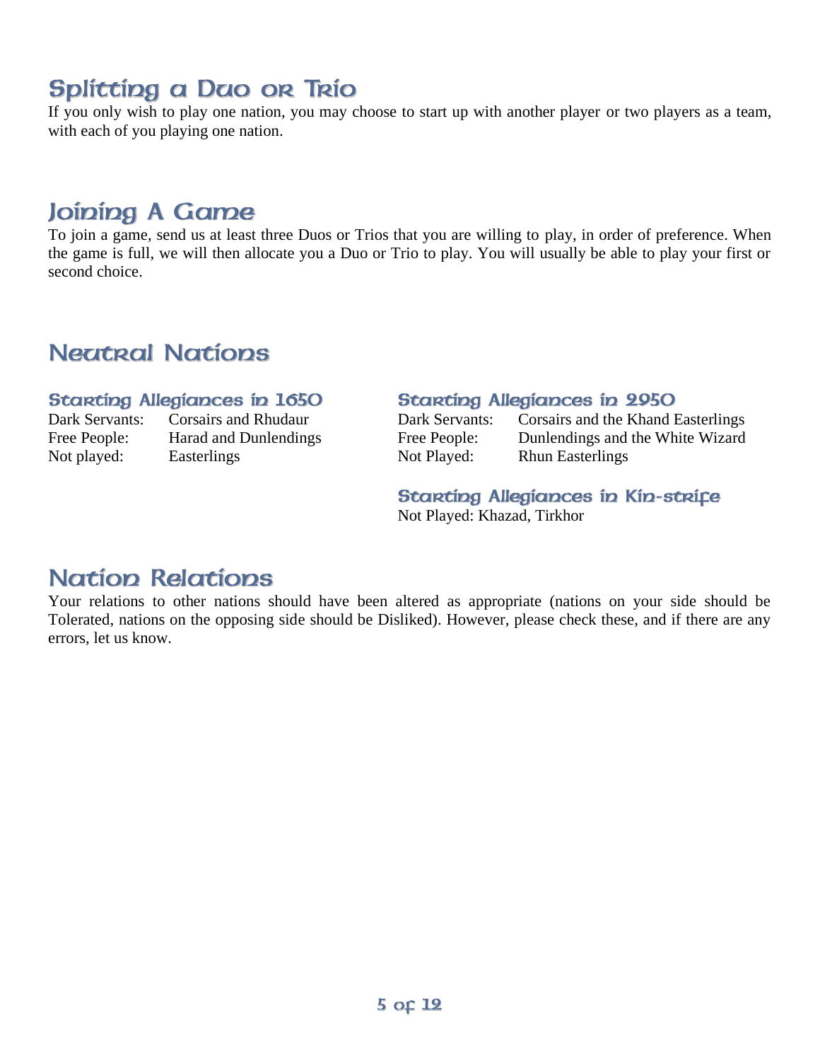# <span id="page-4-0"></span>Splitting a Dao or Trio

If you only wish to play one nation, you may choose to start up with another player or two players as a team, with each of you playing one nation.

## <span id="page-4-1"></span>Joining A Game

To join a game, send us at least three Duos or Trios that you are willing to play, in order of preference. When the game is full, we will then allocate you a Duo or Trio to play. You will usually be able to play your first or second choice.

## <span id="page-4-2"></span>**Negtral Nations**

#### **Starting Allegiances in 1650**

Not played: Easterlings

Dark Servants: Corsairs and Rhudaur<br>Free People: Harad and Dunlending Harad and Dunlendings

#### **Starting Allegiances in 2950**

| Dark Servants: | Corsairs and the Khand Easterlings |
|----------------|------------------------------------|
| Free People:   | Dunlendings and the White Wizard   |
| Not Played:    | <b>Rhun Easterlings</b>            |

#### Starting Allegiances in Kin-strife Not Played: Khazad, Tirkhor

### <span id="page-4-3"></span>**Nation Relations**

Your relations to other nations should have been altered as appropriate (nations on your side should be Tolerated, nations on the opposing side should be Disliked). However, please check these, and if there are any errors, let us know.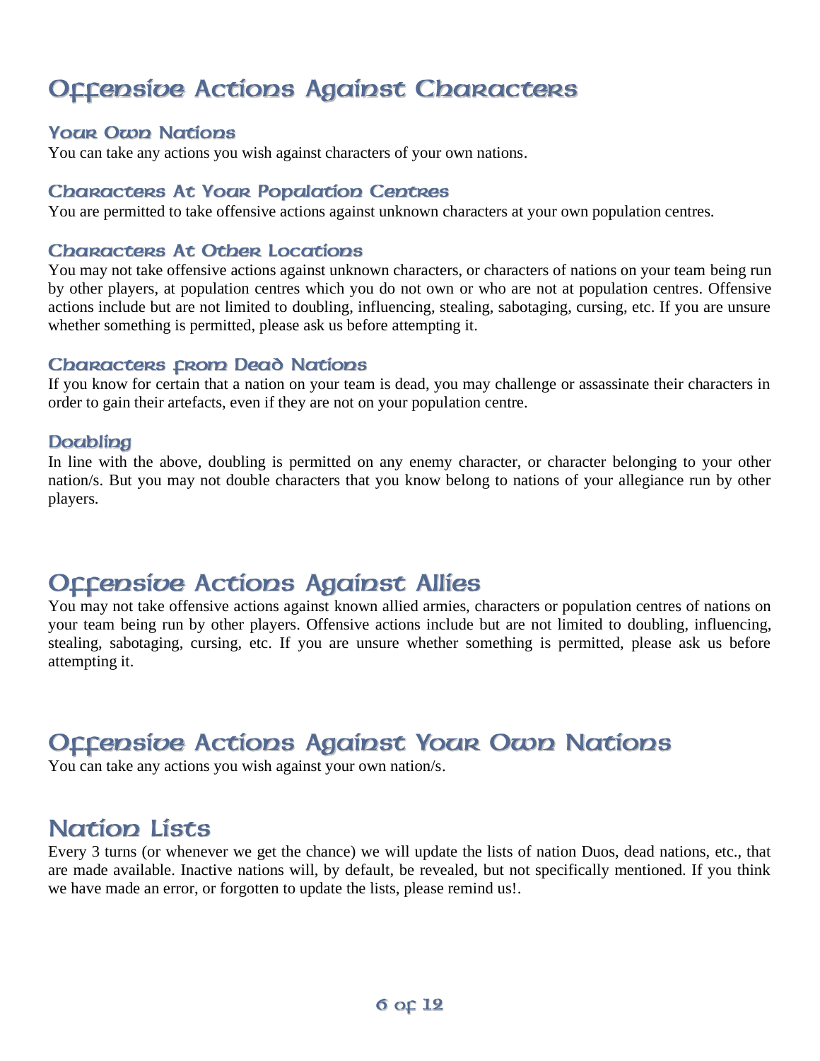# <span id="page-5-0"></span>**Offensive Actions Against Characters**

### **Your Own Nations**

You can take any actions you wish against characters of your own nations.

#### **Chanactens At Youn Population Centres**

You are permitted to take offensive actions against unknown characters at your own population centres.

#### **Chanacters At Othen Locations**

You may not take offensive actions against unknown characters, or characters of nations on your team being run by other players, at population centres which you do not own or who are not at population centres. Offensive actions include but are not limited to doubling, influencing, stealing, sabotaging, cursing, etc. If you are unsure whether something is permitted, please ask us before attempting it.

#### **Chanactens crom Dead Nations**

If you know for certain that a nation on your team is dead, you may challenge or assassinate their characters in order to gain their artefacts, even if they are not on your population centre.

#### **Doubling**

In line with the above, doubling is permitted on any enemy character, or character belonging to your other nation/s. But you may not double characters that you know belong to nations of your allegiance run by other players.

# <span id="page-5-1"></span>**Occepsibe Actions Against Allies**

You may not take offensive actions against known allied armies, characters or population centres of nations on your team being run by other players. Offensive actions include but are not limited to doubling, influencing, stealing, sabotaging, cursing, etc. If you are unsure whether something is permitted, please ask us before attempting it.

# <span id="page-5-2"></span>**Offensive Actions Against Your Own Nations**

You can take any actions you wish against your own nation/s.

## <span id="page-5-3"></span>**Nation Lists**

Every 3 turns (or whenever we get the chance) we will update the lists of nation Duos, dead nations, etc., that are made available. Inactive nations will, by default, be revealed, but not specifically mentioned. If you think we have made an error, or forgotten to update the lists, please remind us!.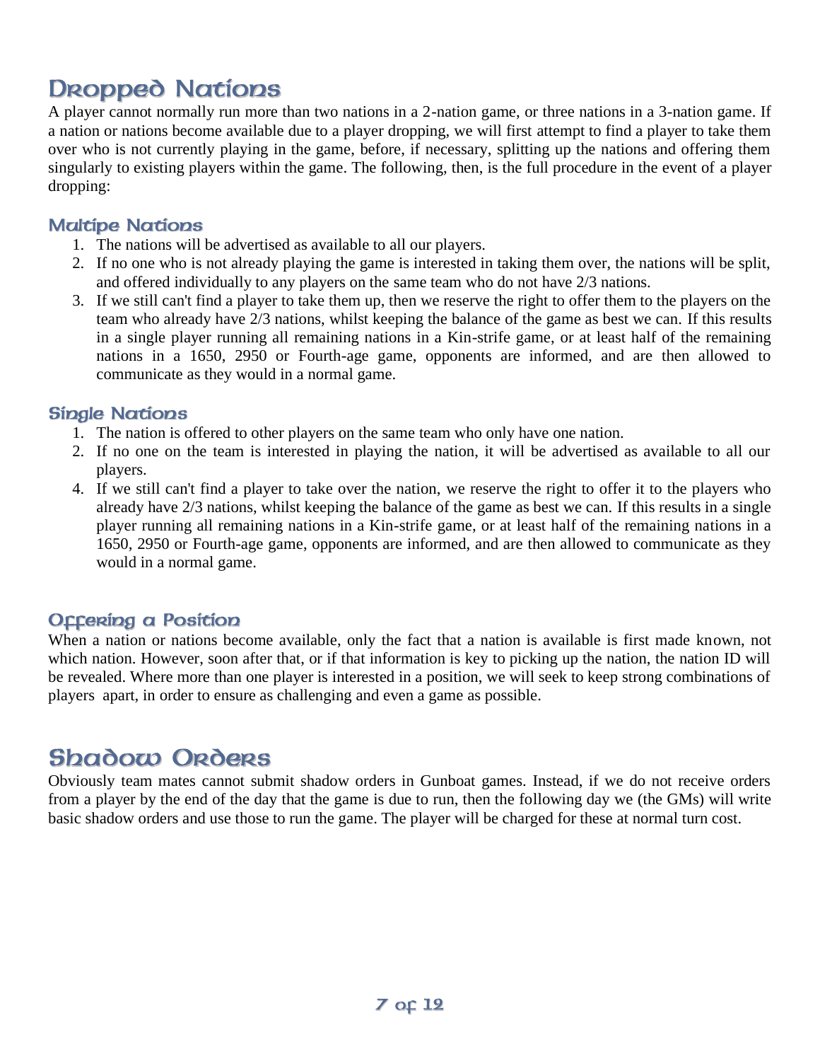# <span id="page-6-0"></span>**Dropped Nations**

A player cannot normally run more than two nations in a 2-nation game, or three nations in a 3-nation game. If a nation or nations become available due to a player dropping, we will first attempt to find a player to take them over who is not currently playing in the game, before, if necessary, splitting up the nations and offering them singularly to existing players within the game. The following, then, is the full procedure in the event of a player dropping:

### **Maltipe Nations**

- 1. The nations will be advertised as available to all our players.
- 2. If no one who is not already playing the game is interested in taking them over, the nations will be split, and offered individually to any players on the same team who do not have 2/3 nations.
- 3. If we still can't find a player to take them up, then we reserve the right to offer them to the players on the team who already have 2/3 nations, whilst keeping the balance of the game as best we can. If this results in a single player running all remaining nations in a Kin-strife game, or at least half of the remaining nations in a 1650, 2950 or Fourth-age game, opponents are informed, and are then allowed to communicate as they would in a normal game.

### **Single Nations**

- 1. The nation is offered to other players on the same team who only have one nation.
- 2. If no one on the team is interested in playing the nation, it will be advertised as available to all our players.
- 4. If we still can't find a player to take over the nation, we reserve the right to offer it to the players who already have 2/3 nations, whilst keeping the balance of the game as best we can. If this results in a single player running all remaining nations in a Kin-strife game, or at least half of the remaining nations in a 1650, 2950 or Fourth-age game, opponents are informed, and are then allowed to communicate as they would in a normal game.

### **Occering a Position**

When a nation or nations become available, only the fact that a nation is available is first made known, not which nation. However, soon after that, or if that information is key to picking up the nation, the nation ID will be revealed. Where more than one player is interested in a position, we will seek to keep strong combinations of players apart, in order to ensure as challenging and even a game as possible.

## <span id="page-6-1"></span>**Shadow Orders**

Obviously team mates cannot submit shadow orders in Gunboat games. Instead, if we do not receive orders from a player by the end of the day that the game is due to run, then the following day we (the GMs) will write basic shadow orders and use those to run the game. The player will be charged for these at normal turn cost.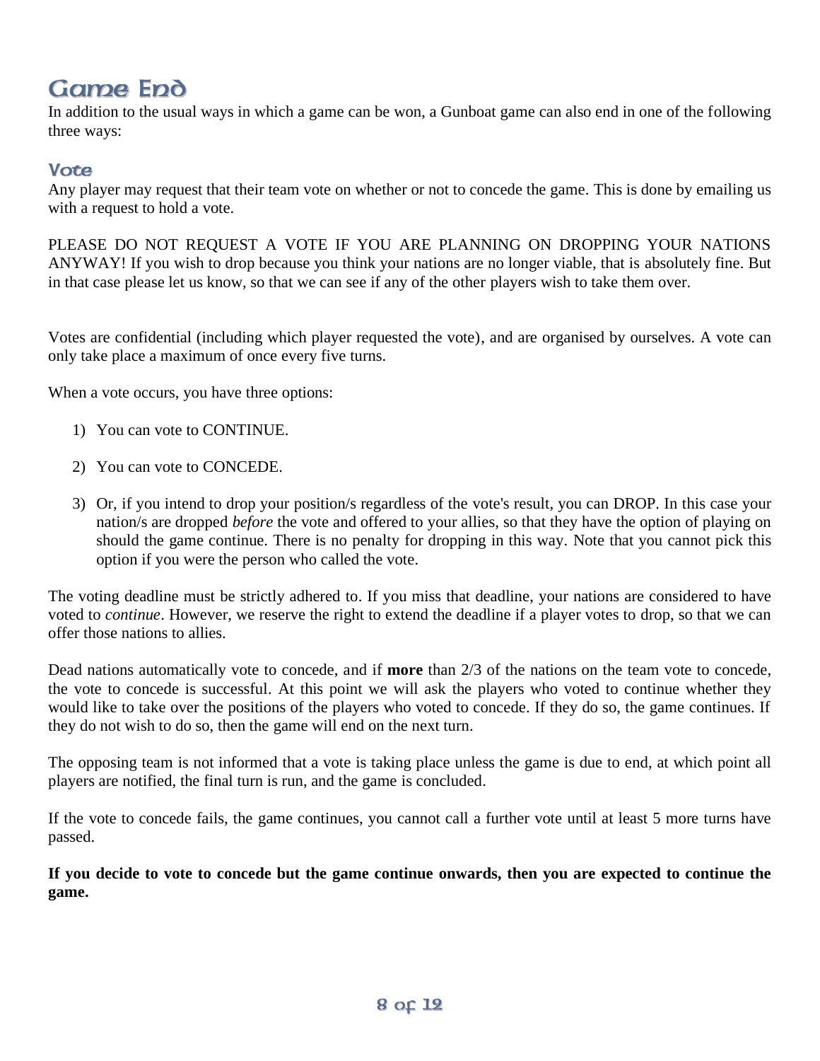# <span id="page-7-0"></span>**Game Epd**

In addition to the usual ways in which a game can be won, a Gunboat game can also end in one of the following three ways:

### **Vote**

Any player may request that their team vote on whether or not to concede the game. This is done by emailing us with a request to hold a vote.

PLEASE DO NOT REQUEST A VOTE IF YOU ARE PLANNING ON DROPPING YOUR NATIONS ANYWAY! If you wish to drop because you think your nations are no longer viable, that is absolutely fine. But in that case please let us know, so that we can see if any of the other players wish to take them over.

Votes are confidential (including which player requested the vote), and are organised by ourselves. A vote can only take place a maximum of once every five turns.

When a vote occurs, you have three options:

- 1) You can vote to CONTINUE.
- 2) You can vote to CONCEDE.
- 3) Or, if you intend to drop your position/s regardless of the vote's result, you can DROP. In this case your nation/s are dropped *before* the vote and offered to your allies, so that they have the option of playing on should the game continue. There is no penalty for dropping in this way. Note that you cannot pick this option if you were the person who called the vote.

The voting deadline must be strictly adhered to. If you miss that deadline, your nations are considered to have voted to *continue*. However, we reserve the right to extend the deadline if a player votes to drop, so that we can offer those nations to allies.

Dead nations automatically vote to concede, and if **more** than 2/3 of the nations on the team vote to concede, the vote to concede is successful. At this point we will ask the players who voted to continue whether they would like to take over the positions of the players who voted to concede. If they do so, the game continues. If they do not wish to do so, then the game will end on the next turn.

The opposing team is not informed that a vote is taking place unless the game is due to end, at which point all players are notified, the final turn is run, and the game is concluded.

If the vote to concede fails, the game continues, you cannot call a further vote until at least 5 more turns have passed.

**If you decide to vote to concede but the game continue onwards, then you are expected to continue the game.**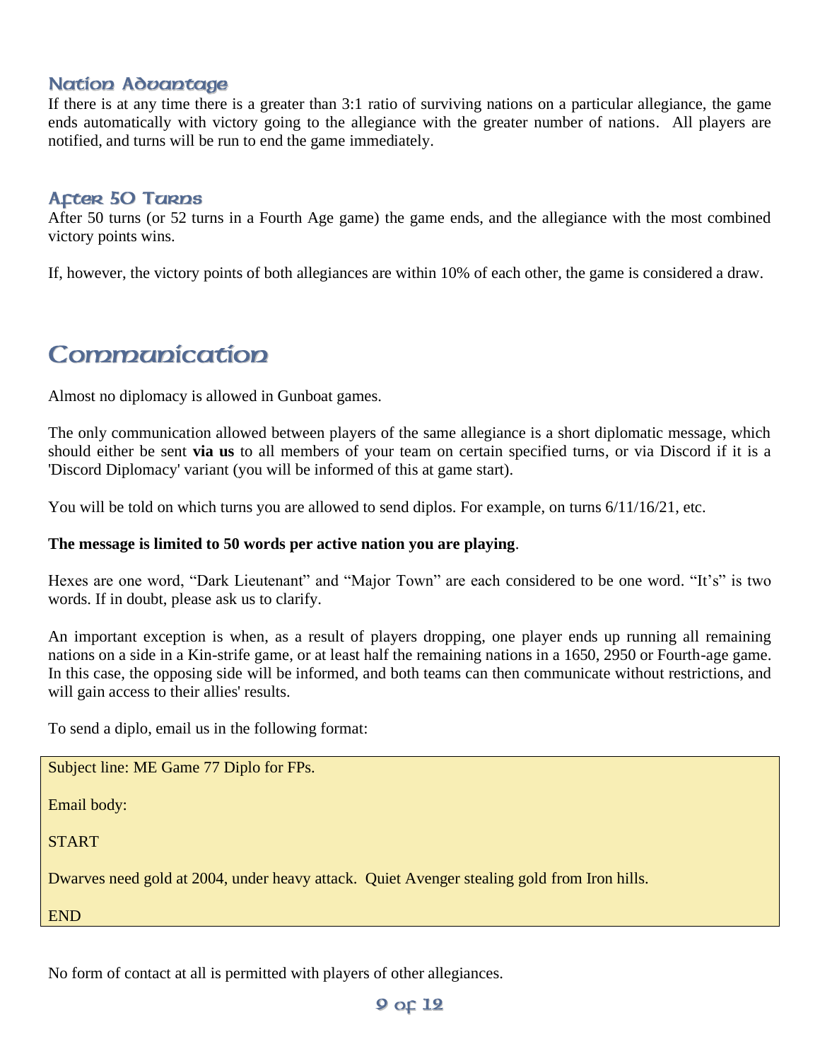#### **Nation Advantage**

If there is at any time there is a greater than 3:1 ratio of surviving nations on a particular allegiance, the game ends automatically with victory going to the allegiance with the greater number of nations. All players are notified, and turns will be run to end the game immediately.

#### **Acter 50 Tarps**

After 50 turns (or 52 turns in a Fourth Age game) the game ends, and the allegiance with the most combined victory points wins.

If, however, the victory points of both allegiances are within 10% of each other, the game is considered a draw.

## <span id="page-8-0"></span>Commanication

Almost no diplomacy is allowed in Gunboat games.

The only communication allowed between players of the same allegiance is a short diplomatic message, which should either be sent **via us** to all members of your team on certain specified turns, or via Discord if it is a 'Discord Diplomacy' variant (you will be informed of this at game start).

You will be told on which turns you are allowed to send diplos. For example, on turns  $6/11/16/21$ , etc.

#### **The message is limited to 50 words per active nation you are playing**.

Hexes are one word, "Dark Lieutenant" and "Major Town" are each considered to be one word. "It's" is two words. If in doubt, please ask us to clarify.

An important exception is when, as a result of players dropping, one player ends up running all remaining nations on a side in a Kin-strife game, or at least half the remaining nations in a 1650, 2950 or Fourth-age game. In this case, the opposing side will be informed, and both teams can then communicate without restrictions, and will gain access to their allies' results.

To send a diplo, email us in the following format:

Subject line: ME Game 77 Diplo for FPs.

Email body:

**START** 

Dwarves need gold at 2004, under heavy attack. Quiet Avenger stealing gold from Iron hills.

END

No form of contact at all is permitted with players of other allegiances.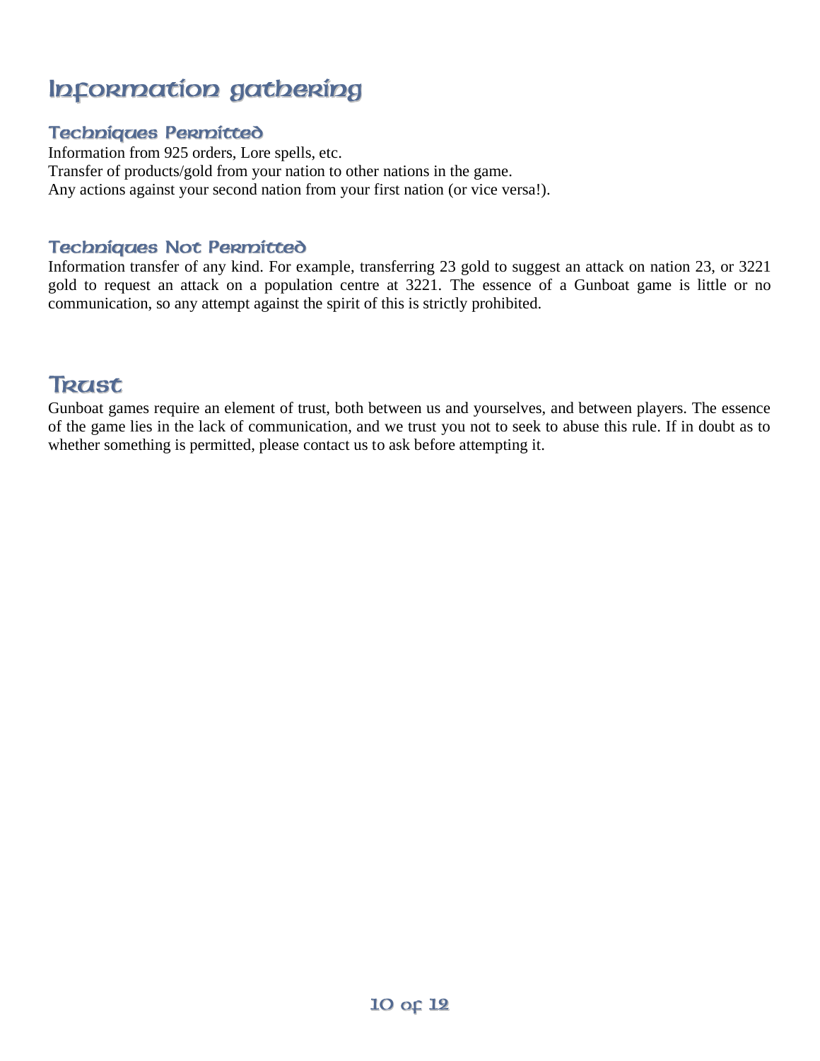# <span id="page-9-0"></span>Information gathering

### **Techniques Permitted**

Information from 925 orders, Lore spells, etc. Transfer of products/gold from your nation to other nations in the game. Any actions against your second nation from your first nation (or vice versa!).

### **Techniques Not Permitted**

Information transfer of any kind. For example, transferring 23 gold to suggest an attack on nation 23, or 3221 gold to request an attack on a population centre at 3221. The essence of a Gunboat game is little or no communication, so any attempt against the spirit of this is strictly prohibited.

### <span id="page-9-1"></span>**Terist**

Gunboat games require an element of trust, both between us and yourselves, and between players. The essence of the game lies in the lack of communication, and we trust you not to seek to abuse this rule. If in doubt as to whether something is permitted, please contact us to ask before attempting it.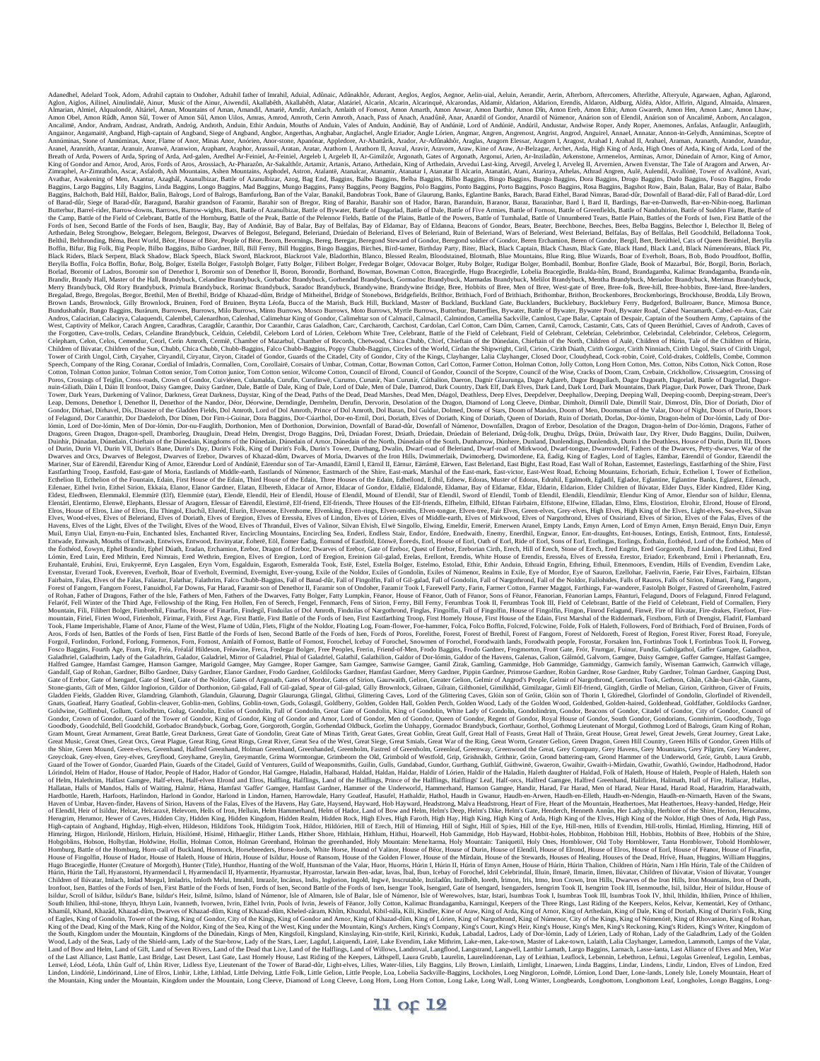Adamon, Adami Dook, Adom, Adami Amini captain or Dabohe, Adami Amin fahur, Adami Adami Adami, Aggos, Aggos, Aggos, Aggos, Adami, Adami Acquistati, Adami Adami Adami Adami Amini Amini Amini Amini Amini Amini Amini Amini Ami Brooks of Isen, Second Battle of the Fords of Isen, Battle Citebran, Battle of the Heal), Battle of the Pather Brooks, Battle of the Fords of Isen, Battle of the Fords of Isen, Battle of the Field of Celomaty Battle of the Mery Brundybuck, Old Rory Brandybuck, Primula Brandybuck, Rorinac Brandybuck, Saradoc Brandybuck, Brandywine, Brandywine, Britalion, Britalion, Britalion, Broes, Brocket and Britalion, Broes, Brocket and Brown, Brockenbore Research Controllery Brownlock, Bruinen, Ford of Bruinen, Brytta Léofa, Bucca of the Marish, Buck Hill, Buckland, Master of Buckland, Master of Buckland Gate, Bucklanders, Bucklebury, Bucklebury, Bucklebury, Bucklebury, Bu Bundushanfur, Bungo Bagins, Bunduen, Bundus, Millo Burows, Millo Burows, Minto Bundus, Chailer and Millo Bundus, Calachia, Calachia, Calachia, Calachia, Calachia, Calachia, Calachia, Calachia, Calachia, Campelia, Campelia, Children of Ilúvatar, Children of the Sun, Chubb, Chica Chubb, Chubb-Baggins, Reco Chubb-Baggins, Poppy Chubb-Baggins, Circles of the World, Cirdan the Shipwright, Ciril, Clion, Cirilh Diath, Cirith Gorgor, Cirith Ninniach Poros, Crossings of Teiglin, Cross-roads, Crown of Gondor, Cuiviénen, Culumalda, Curufin, Curufinwë, Curumo, Curumír, Nan Curumír, Cúthalion, Daeron, Dagnit Glaurunga, Dagor Aglareb, Dagor Bragollach, Dagor Dagorah, Dagord 16min, Lord of Dor-Jómin, Men of Dor-Jómin, Dor-nu-Fauglith, Dorthonion, Men of Dorthonion, Downfall of Band-dúr, Downfall of Mimenor, Downfaller, Dragon of Erebor, Desolation of the Dragon, Dragon-helm of Dor-Jómin, Drago Entering Prop. Earls Franchi Read Estate and Mathematic Mathematic Mathematic Mathematic Mathematic Mathematic Mathematic Mathematic Mathematic Mathematic Mathematic Mathematic Mathematic Mathematic Mathematic Mathematic Ges Mais Gracies One G. Ges Rep. Ges Rep. Ges Rep. Ges Rep. Ges Rep. 2011 and the constraints and the constraints of the West Constraints and the constraints and the constraints and the constraints and the constraints and